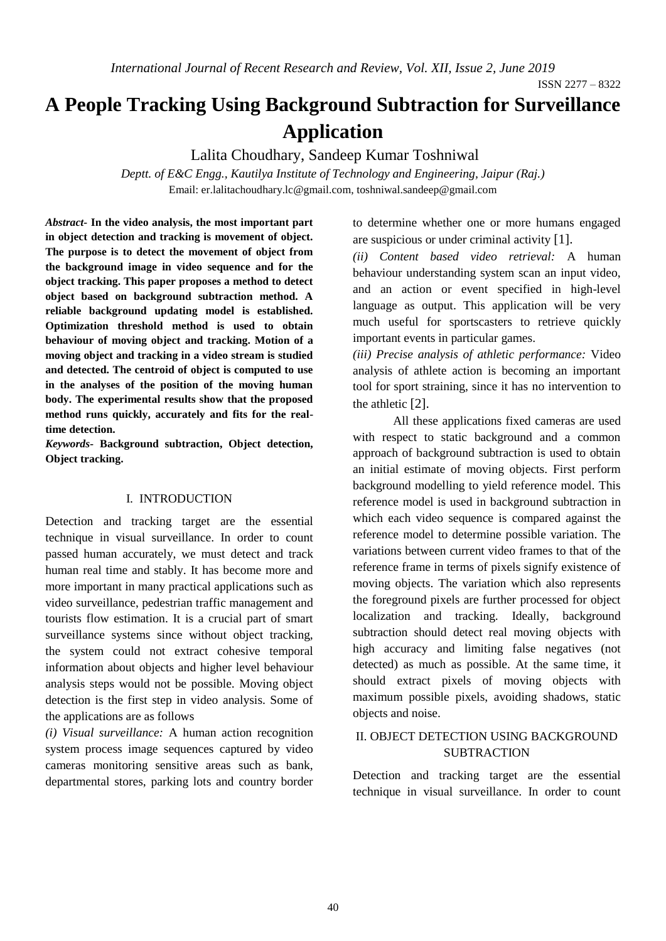# **A People Tracking Using Background Subtraction for Surveillance Application**

Lalita Choudhary, Sandeep Kumar Toshniwal

*Deptt. of E&C Engg., Kautilya Institute of Technology and Engineering, Jaipur (Raj.)* Email: [er.lalitachoudhary.lc@gmail.com,](mailto:er.lalitachoudhary.lc@gmail.com) toshniwal.sandeep@gmail.com

*Abstract-* **In the video analysis, the most important part in object detection and tracking is movement of object. The purpose is to detect the movement of object from the background image in video sequence and for the object tracking. This paper proposes a method to detect object based on background subtraction method. A reliable background updating model is established. Optimization threshold method is used to obtain behaviour of moving object and tracking. Motion of a moving object and tracking in a video stream is studied and detected. The centroid of object is computed to use in the analyses of the position of the moving human body. The experimental results show that the proposed method runs quickly, accurately and fits for the realtime detection.**

*Keywords-* **Background subtraction, Object detection, Object tracking.** 

#### I. INTRODUCTION

Detection and tracking target are the essential technique in visual surveillance. In order to count passed human accurately, we must detect and track human real time and stably. It has become more and more important in many practical applications such as video surveillance, pedestrian traffic management and tourists flow estimation. It is a crucial part of smart surveillance systems since without object tracking, the system could not extract cohesive temporal information about objects and higher level behaviour analysis steps would not be possible. Moving object detection is the first step in video analysis. Some of the applications are as follows

*(i) Visual surveillance:* A human action recognition system process image sequences captured by video cameras monitoring sensitive areas such as bank, departmental stores, parking lots and country border to determine whether one or more humans engaged are suspicious or under criminal activity [1].

*(ii) Content based video retrieval:* A human behaviour understanding system scan an input video, and an action or event specified in high-level language as output. This application will be very much useful for sportscasters to retrieve quickly important events in particular games.

*(iii) Precise analysis of athletic performance:* Video analysis of athlete action is becoming an important tool for sport straining, since it has no intervention to the athletic [2].

All these applications fixed cameras are used with respect to static background and a common approach of background subtraction is used to obtain an initial estimate of moving objects. First perform background modelling to yield reference model. This reference model is used in background subtraction in which each video sequence is compared against the reference model to determine possible variation. The variations between current video frames to that of the reference frame in terms of pixels signify existence of moving objects. The variation which also represents the foreground pixels are further processed for object localization and tracking. Ideally, background subtraction should detect real moving objects with high accuracy and limiting false negatives (not detected) as much as possible. At the same time, it should extract pixels of moving objects with maximum possible pixels, avoiding shadows, static objects and noise.

#### II. OBJECT DETECTION USING BACKGROUND **SUBTRACTION**

Detection and tracking target are the essential technique in visual surveillance. In order to count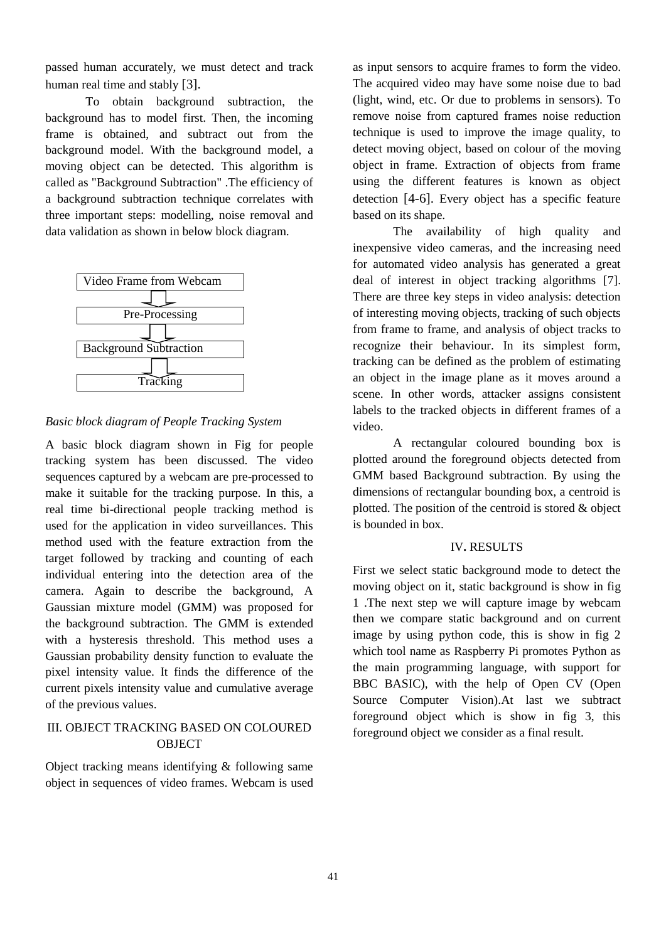passed human accurately, we must detect and track human real time and stably [3].

To obtain background subtraction, the background has to model first. Then, the incoming frame is obtained, and subtract out from the background model. With the background model, a moving object can be detected. This algorithm is called as "Background Subtraction" .The efficiency of a background subtraction technique correlates with three important steps: modelling, noise removal and data validation as shown in below block diagram.



#### *Basic block diagram of People Tracking System*

A basic block diagram shown in Fig for people tracking system has been discussed. The video sequences captured by a webcam are pre-processed to make it suitable for the tracking purpose. In this, a real time bi-directional people tracking method is used for the application in video surveillances. This method used with the feature extraction from the target followed by tracking and counting of each individual entering into the detection area of the camera. Again to describe the background, A Gaussian mixture model (GMM) was proposed for the background subtraction. The GMM is extended with a hysteresis threshold. This method uses a Gaussian probability density function to evaluate the pixel intensity value. It finds the difference of the current pixels intensity value and cumulative average of the previous values.

# III. OBJECT TRACKING BASED ON COLOURED **OBJECT**

Object tracking means identifying & following same object in sequences of video frames. Webcam is used

as input sensors to acquire frames to form the video. The acquired video may have some noise due to bad (light, wind, etc. Or due to problems in sensors). To remove noise from captured frames noise reduction technique is used to improve the image quality, to detect moving object, based on colour of the moving object in frame. Extraction of objects from frame using the different features is known as object detection [4-6]. Every object has a specific feature based on its shape.

The availability of high quality and inexpensive video cameras, and the increasing need for automated video analysis has generated a great deal of interest in object tracking algorithms [7]. There are three key steps in video analysis: detection of interesting moving objects, tracking of such objects from frame to frame, and analysis of object tracks to recognize their behaviour. In its simplest form, tracking can be defined as the problem of estimating an object in the image plane as it moves around a scene. In other words, attacker assigns consistent labels to the tracked objects in different frames of a video.

A rectangular coloured bounding box is plotted around the foreground objects detected from GMM based Background subtraction. By using the dimensions of rectangular bounding box, a centroid is plotted. The position of the centroid is stored & object is bounded in box.

#### IV**.** RESULTS

First we select static background mode to detect the moving object on it, static background is show in fig 1 .The next step we will capture image by webcam then we compare static background and on current image by using python code, this is show in fig 2 which tool name as Raspberry Pi promotes Python as the main programming language, with support for BBC BASIC), with the help of Open CV (Open Source Computer Vision).At last we subtract foreground object which is show in fig 3, this foreground object we consider as a final result.